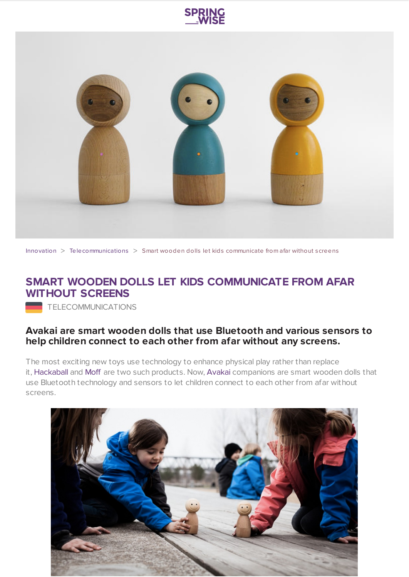



[Innovation](https://www.springwise.com/search?type=innovation) > [Telecommunications](https://www.springwise.com/search?type=innovation§or=telecoms-tech) > Smart wooden dolls let kids communicate from afar without screens

## **SMART WOODEN DOLLS LET KIDS COMMUNICATE FROM AFAR WITHOUT SCREENS**

TELECOMMUNICATIONS

## **Avakai are smart wooden dolls that use Bluetooth and various sensors to help children connect to each other from afar without any screens.**

The most exciting new toys use technology to enhance physical play rather than replace it, [Hackaball](https://www.springwise.com/programmable-ball-throwable-computer-kids) and [Moff](https://www.springwise.com/smartband-kids-turns-object-toy/) are two such products. Now, [Avakai](http://vaikai.com/) companions are smart wooden dolls that use Bluetooth technology and sensors to let children connect to each other from afar without screens.